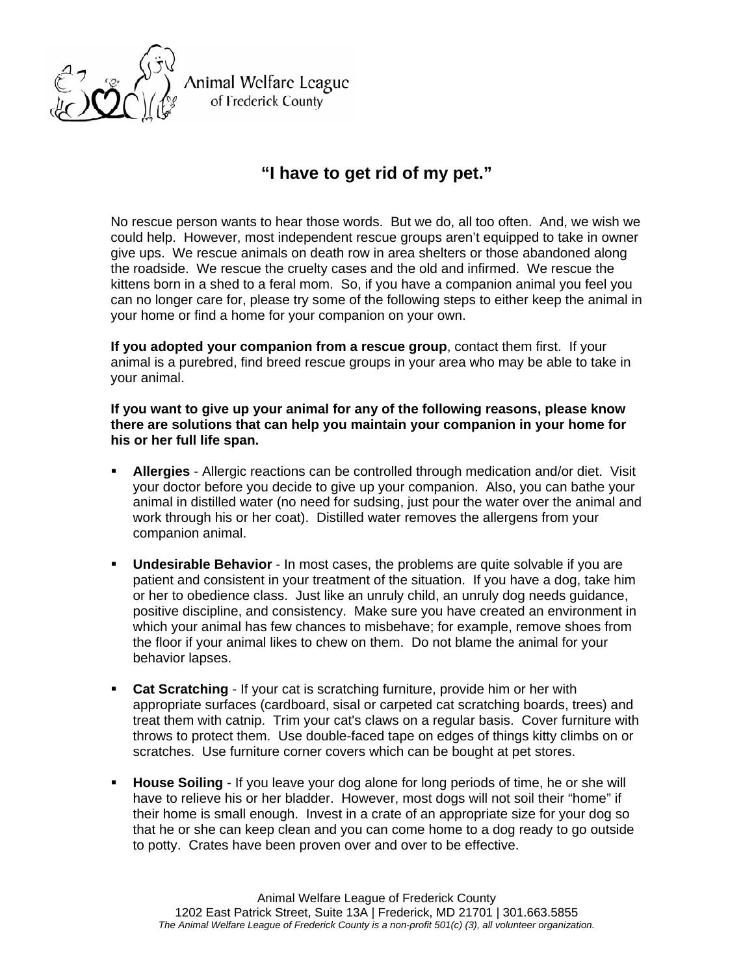

Animal Welfare League of Frederick County

## **"I have to get rid of my pet."**

No rescue person wants to hear those words. But we do, all too often. And, we wish we could help. However, most independent rescue groups aren't equipped to take in owner give ups. We rescue animals on death row in area shelters or those abandoned along the roadside. We rescue the cruelty cases and the old and infirmed. We rescue the kittens born in a shed to a feral mom. So, if you have a companion animal you feel you can no longer care for, please try some of the following steps to either keep the animal in your home or find a home for your companion on your own.

**If you adopted your companion from a rescue group**, contact them first. If your animal is a purebred, find breed rescue groups in your area who may be able to take in your animal.

**If you want to give up your animal for any of the following reasons, please know there are solutions that can help you maintain your companion in your home for his or her full life span.** 

- **Allergies** Allergic reactions can be controlled through medication and/or diet. Visit your doctor before you decide to give up your companion. Also, you can bathe your animal in distilled water (no need for sudsing, just pour the water over the animal and work through his or her coat). Distilled water removes the allergens from your companion animal.
- **Undesirable Behavior** In most cases, the problems are quite solvable if you are patient and consistent in your treatment of the situation. If you have a dog, take him or her to obedience class. Just like an unruly child, an unruly dog needs guidance, positive discipline, and consistency. Make sure you have created an environment in which your animal has few chances to misbehave; for example, remove shoes from the floor if your animal likes to chew on them. Do not blame the animal for your behavior lapses.
- **Cat Scratching** If your cat is scratching furniture, provide him or her with appropriate surfaces (cardboard, sisal or carpeted cat scratching boards, trees) and treat them with catnip. Trim your cat's claws on a regular basis. Cover furniture with throws to protect them. Use double-faced tape on edges of things kitty climbs on or scratches. Use furniture corner covers which can be bought at pet stores.
- **House Soiling** If you leave your dog alone for long periods of time, he or she will have to relieve his or her bladder. However, most dogs will not soil their "home" if their home is small enough. Invest in a crate of an appropriate size for your dog so that he or she can keep clean and you can come home to a dog ready to go outside to potty. Crates have been proven over and over to be effective.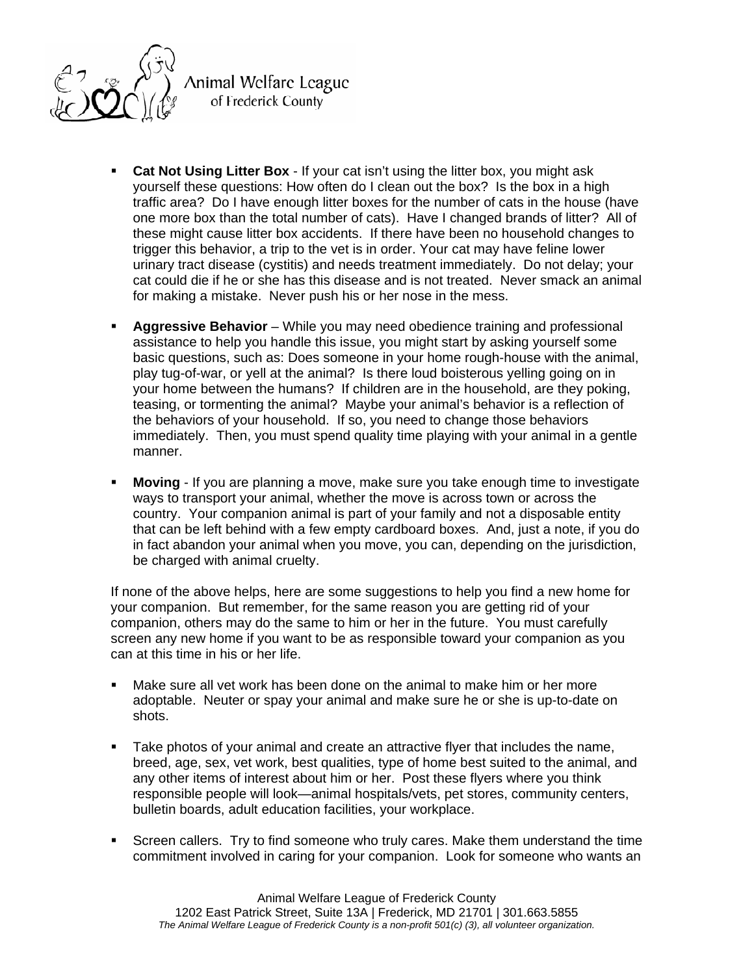

Animal Welfare League of Frederick County

- **Cat Not Using Litter Box**  If your cat isn't using the litter box, you might ask yourself these questions: How often do I clean out the box? Is the box in a high traffic area? Do I have enough litter boxes for the number of cats in the house (have one more box than the total number of cats). Have I changed brands of litter? All of these might cause litter box accidents. If there have been no household changes to trigger this behavior, a trip to the vet is in order. Your cat may have feline lower urinary tract disease (cystitis) and needs treatment immediately. Do not delay; your cat could die if he or she has this disease and is not treated. Never smack an animal for making a mistake. Never push his or her nose in the mess.
- **Aggressive Behavior** While you may need obedience training and professional assistance to help you handle this issue, you might start by asking yourself some basic questions, such as: Does someone in your home rough-house with the animal, play tug-of-war, or yell at the animal? Is there loud boisterous yelling going on in your home between the humans? If children are in the household, are they poking, teasing, or tormenting the animal? Maybe your animal's behavior is a reflection of the behaviors of your household. If so, you need to change those behaviors immediately. Then, you must spend quality time playing with your animal in a gentle manner.
- **Moving** If you are planning a move, make sure you take enough time to investigate ways to transport your animal, whether the move is across town or across the country. Your companion animal is part of your family and not a disposable entity that can be left behind with a few empty cardboard boxes. And, just a note, if you do in fact abandon your animal when you move, you can, depending on the jurisdiction, be charged with animal cruelty.

If none of the above helps, here are some suggestions to help you find a new home for your companion. But remember, for the same reason you are getting rid of your companion, others may do the same to him or her in the future. You must carefully screen any new home if you want to be as responsible toward your companion as you can at this time in his or her life.

- Make sure all vet work has been done on the animal to make him or her more adoptable. Neuter or spay your animal and make sure he or she is up-to-date on shots.
- Take photos of your animal and create an attractive flyer that includes the name, breed, age, sex, vet work, best qualities, type of home best suited to the animal, and any other items of interest about him or her. Post these flyers where you think responsible people will look—animal hospitals/vets, pet stores, community centers, bulletin boards, adult education facilities, your workplace.
- Screen callers. Try to find someone who truly cares. Make them understand the time commitment involved in caring for your companion. Look for someone who wants an